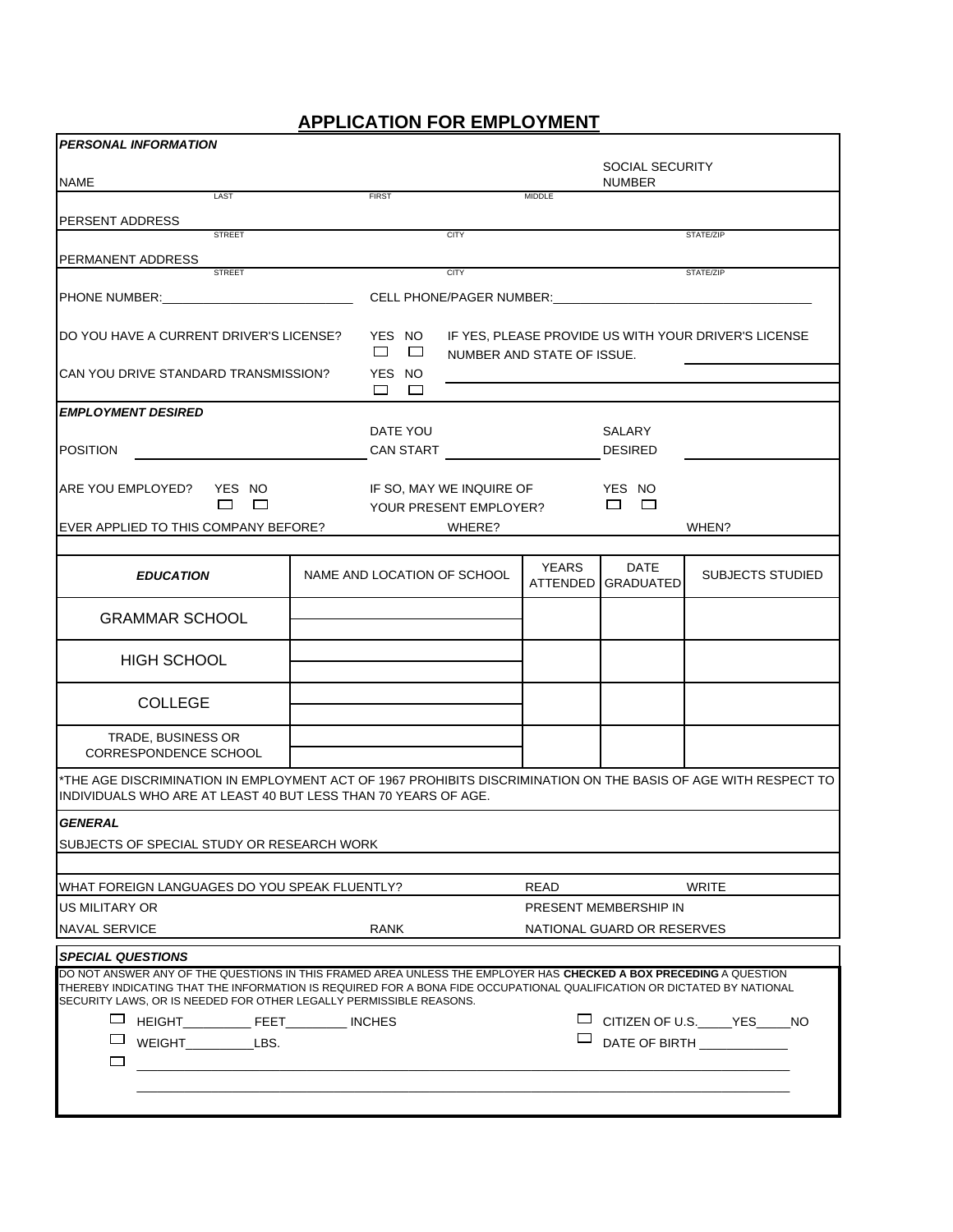## **APPLICATION FOR EMPLOYMENT**

| <b>PERSONAL INFORMATION</b>                                                                                                                                                                                                                                                                                       |  |                              |                                                                                    |                                                    |                                         |                               |  |
|-------------------------------------------------------------------------------------------------------------------------------------------------------------------------------------------------------------------------------------------------------------------------------------------------------------------|--|------------------------------|------------------------------------------------------------------------------------|----------------------------------------------------|-----------------------------------------|-------------------------------|--|
| <b>NAME</b>                                                                                                                                                                                                                                                                                                       |  |                              |                                                                                    |                                                    | <b>SOCIAL SECURITY</b><br><b>NUMBER</b> |                               |  |
| LAST                                                                                                                                                                                                                                                                                                              |  | <b>FIRST</b>                 |                                                                                    | <b>MIDDLE</b>                                      |                                         |                               |  |
| <b>PERSENT ADDRESS</b><br><b>STREET</b>                                                                                                                                                                                                                                                                           |  |                              | <b>CITY</b>                                                                        |                                                    |                                         | STATE/ZIP                     |  |
|                                                                                                                                                                                                                                                                                                                   |  |                              |                                                                                    |                                                    |                                         |                               |  |
| <b>PERMANENT ADDRESS</b><br><b>STREET</b>                                                                                                                                                                                                                                                                         |  |                              | <b>CITY</b>                                                                        |                                                    |                                         | STATE/ZIP                     |  |
| PHONE NUMBER: And the state of the state of the state of the state of the state of the state of the state of the state of the state of the state of the state of the state of the state of the state of the state of the state                                                                                    |  |                              | CELL PHONE/PAGER NUMBER:                                                           |                                                    |                                         |                               |  |
| DO YOU HAVE A CURRENT DRIVER'S LICENSE?                                                                                                                                                                                                                                                                           |  | YES NO<br>$\Box$<br>$\Box$   | IF YES, PLEASE PROVIDE US WITH YOUR DRIVER'S LICENSE<br>NUMBER AND STATE OF ISSUE. |                                                    |                                         |                               |  |
| CAN YOU DRIVE STANDARD TRANSMISSION?                                                                                                                                                                                                                                                                              |  | YES NO<br>п<br>П             |                                                                                    |                                                    |                                         |                               |  |
| <b>EMPLOYMENT DESIRED</b>                                                                                                                                                                                                                                                                                         |  |                              |                                                                                    |                                                    |                                         |                               |  |
| <b>POSITION</b>                                                                                                                                                                                                                                                                                                   |  | DATE YOU<br><b>CAN START</b> |                                                                                    |                                                    | SALARY<br><b>DESIRED</b>                |                               |  |
| <b>ARE YOU EMPLOYED?</b><br>YES NO<br>П<br>$\Box$                                                                                                                                                                                                                                                                 |  |                              |                                                                                    | IF SO, MAY WE INQUIRE OF<br>YOUR PRESENT EMPLOYER? |                                         |                               |  |
| EVER APPLIED TO THIS COMPANY BEFORE?                                                                                                                                                                                                                                                                              |  |                              | WHERE?                                                                             |                                                    |                                         | WHEN?                         |  |
|                                                                                                                                                                                                                                                                                                                   |  |                              |                                                                                    |                                                    |                                         |                               |  |
| <b>EDUCATION</b>                                                                                                                                                                                                                                                                                                  |  | NAME AND LOCATION OF SCHOOL  |                                                                                    | <b>YEARS</b><br>ATTENDED                           | <b>DATE</b><br><b>GRADUATED</b>         | <b>SUBJECTS STUDIED</b>       |  |
| <b>GRAMMAR SCHOOL</b>                                                                                                                                                                                                                                                                                             |  |                              |                                                                                    |                                                    |                                         |                               |  |
| <b>HIGH SCHOOL</b>                                                                                                                                                                                                                                                                                                |  |                              |                                                                                    |                                                    |                                         |                               |  |
| <b>COLLEGE</b>                                                                                                                                                                                                                                                                                                    |  |                              |                                                                                    |                                                    |                                         |                               |  |
| TRADE, BUSINESS OR<br>CORRESPONDENCE SCHOOL                                                                                                                                                                                                                                                                       |  |                              |                                                                                    |                                                    |                                         |                               |  |
| *THE AGE DISCRIMINATION IN EMPLOYMENT ACT OF 1967 PROHIBITS DISCRIMINATION ON THE BASIS OF AGE WITH RESPECT TO<br>INDIVIDUALS WHO ARE AT LEAST 40 BUT LESS THAN 70 YEARS OF AGE.                                                                                                                                  |  |                              |                                                                                    |                                                    |                                         |                               |  |
| <b>GENERAL</b>                                                                                                                                                                                                                                                                                                    |  |                              |                                                                                    |                                                    |                                         |                               |  |
| SUBJECTS OF SPECIAL STUDY OR RESEARCH WORK                                                                                                                                                                                                                                                                        |  |                              |                                                                                    |                                                    |                                         |                               |  |
| WHAT FOREIGN LANGUAGES DO YOU SPEAK FLUENTLY?                                                                                                                                                                                                                                                                     |  |                              |                                                                                    | READ                                               |                                         | WRITE                         |  |
| IUS MILITARY OR                                                                                                                                                                                                                                                                                                   |  |                              |                                                                                    |                                                    | PRESENT MEMBERSHIP IN                   |                               |  |
| <b>NAVAL SERVICE</b>                                                                                                                                                                                                                                                                                              |  | <b>RANK</b>                  |                                                                                    |                                                    | NATIONAL GUARD OR RESERVES              |                               |  |
| <b>SPECIAL QUESTIONS</b>                                                                                                                                                                                                                                                                                          |  |                              |                                                                                    |                                                    |                                         |                               |  |
| DO NOT ANSWER ANY OF THE QUESTIONS IN THIS FRAMED AREA UNLESS THE EMPLOYER HAS CHECKED A BOX PRECEDING A QUESTION<br>THEREBY INDICATING THAT THE INFORMATION IS REQUIRED FOR A BONA FIDE OCCUPATIONAL QUALIFICATION OR DICTATED BY NATIONAL<br>SECURITY LAWS, OR IS NEEDED FOR OTHER LEGALLY PERMISSIBLE REASONS. |  |                              |                                                                                    |                                                    |                                         |                               |  |
| ப                                                                                                                                                                                                                                                                                                                 |  |                              |                                                                                    |                                                    |                                         | $\Box$ CITIZEN OF U.S. YES NO |  |
| $\Box$<br>WEIGHT___________LBS.<br>□                                                                                                                                                                                                                                                                              |  |                              |                                                                                    |                                                    |                                         |                               |  |
|                                                                                                                                                                                                                                                                                                                   |  |                              |                                                                                    |                                                    |                                         |                               |  |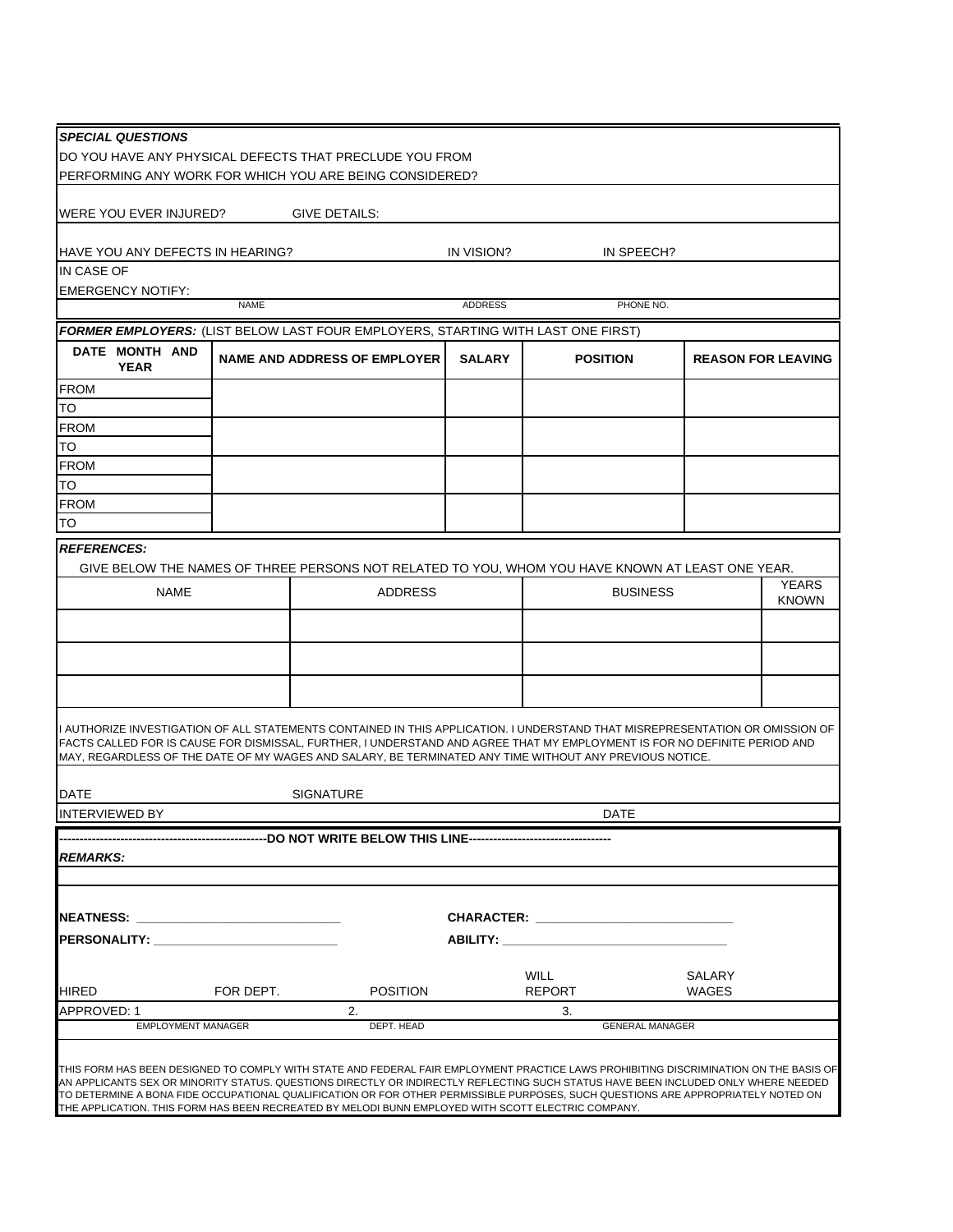| <b>SPECIAL QUESTIONS</b>                                                                                                                                                                                                                                                                                                                                              |                                                                                                                                                                                                                                                                                                                                                                                                                                                                       |                                                                                                  |               |                                        |                 |                              |  |  |
|-----------------------------------------------------------------------------------------------------------------------------------------------------------------------------------------------------------------------------------------------------------------------------------------------------------------------------------------------------------------------|-----------------------------------------------------------------------------------------------------------------------------------------------------------------------------------------------------------------------------------------------------------------------------------------------------------------------------------------------------------------------------------------------------------------------------------------------------------------------|--------------------------------------------------------------------------------------------------|---------------|----------------------------------------|-----------------|------------------------------|--|--|
| DO YOU HAVE ANY PHYSICAL DEFECTS THAT PRECLUDE YOU FROM<br>PERFORMING ANY WORK FOR WHICH YOU ARE BEING CONSIDERED?                                                                                                                                                                                                                                                    |                                                                                                                                                                                                                                                                                                                                                                                                                                                                       |                                                                                                  |               |                                        |                 |                              |  |  |
| WERE YOU EVER INJURED?<br>GIVE DETAILS:                                                                                                                                                                                                                                                                                                                               |                                                                                                                                                                                                                                                                                                                                                                                                                                                                       |                                                                                                  |               |                                        |                 |                              |  |  |
|                                                                                                                                                                                                                                                                                                                                                                       |                                                                                                                                                                                                                                                                                                                                                                                                                                                                       |                                                                                                  |               |                                        |                 |                              |  |  |
|                                                                                                                                                                                                                                                                                                                                                                       | HAVE YOU ANY DEFECTS IN HEARING?<br>IN VISION?<br>IN SPEECH?                                                                                                                                                                                                                                                                                                                                                                                                          |                                                                                                  |               |                                        |                 |                              |  |  |
| IN CASE OF                                                                                                                                                                                                                                                                                                                                                            |                                                                                                                                                                                                                                                                                                                                                                                                                                                                       |                                                                                                  |               |                                        |                 |                              |  |  |
| <b>EMERGENCY NOTIFY:</b><br><b>NAME</b><br><b>ADDRESS</b><br>PHONE NO.                                                                                                                                                                                                                                                                                                |                                                                                                                                                                                                                                                                                                                                                                                                                                                                       |                                                                                                  |               |                                        |                 |                              |  |  |
|                                                                                                                                                                                                                                                                                                                                                                       | FORMER EMPLOYERS: (LIST BELOW LAST FOUR EMPLOYERS, STARTING WITH LAST ONE FIRST)                                                                                                                                                                                                                                                                                                                                                                                      |                                                                                                  |               |                                        |                 |                              |  |  |
| DATE MONTH AND                                                                                                                                                                                                                                                                                                                                                        |                                                                                                                                                                                                                                                                                                                                                                                                                                                                       |                                                                                                  |               |                                        |                 |                              |  |  |
| <b>YEAR</b>                                                                                                                                                                                                                                                                                                                                                           |                                                                                                                                                                                                                                                                                                                                                                                                                                                                       | <b>NAME AND ADDRESS OF EMPLOYER</b>                                                              | <b>SALARY</b> | <b>POSITION</b>                        |                 | <b>REASON FOR LEAVING</b>    |  |  |
| <b>FROM</b>                                                                                                                                                                                                                                                                                                                                                           |                                                                                                                                                                                                                                                                                                                                                                                                                                                                       |                                                                                                  |               |                                        |                 |                              |  |  |
| TO                                                                                                                                                                                                                                                                                                                                                                    |                                                                                                                                                                                                                                                                                                                                                                                                                                                                       |                                                                                                  |               |                                        |                 |                              |  |  |
| <b>FROM</b>                                                                                                                                                                                                                                                                                                                                                           |                                                                                                                                                                                                                                                                                                                                                                                                                                                                       |                                                                                                  |               |                                        |                 |                              |  |  |
| <b>TO</b>                                                                                                                                                                                                                                                                                                                                                             |                                                                                                                                                                                                                                                                                                                                                                                                                                                                       |                                                                                                  |               |                                        |                 |                              |  |  |
| <b>FROM</b><br>TO                                                                                                                                                                                                                                                                                                                                                     |                                                                                                                                                                                                                                                                                                                                                                                                                                                                       |                                                                                                  |               |                                        |                 |                              |  |  |
| <b>FROM</b>                                                                                                                                                                                                                                                                                                                                                           |                                                                                                                                                                                                                                                                                                                                                                                                                                                                       |                                                                                                  |               |                                        |                 |                              |  |  |
| TO                                                                                                                                                                                                                                                                                                                                                                    |                                                                                                                                                                                                                                                                                                                                                                                                                                                                       |                                                                                                  |               |                                        |                 |                              |  |  |
| <b>REFERENCES:</b>                                                                                                                                                                                                                                                                                                                                                    |                                                                                                                                                                                                                                                                                                                                                                                                                                                                       |                                                                                                  |               |                                        |                 |                              |  |  |
|                                                                                                                                                                                                                                                                                                                                                                       |                                                                                                                                                                                                                                                                                                                                                                                                                                                                       | GIVE BELOW THE NAMES OF THREE PERSONS NOT RELATED TO YOU, WHOM YOU HAVE KNOWN AT LEAST ONE YEAR. |               |                                        |                 |                              |  |  |
| <b>NAME</b>                                                                                                                                                                                                                                                                                                                                                           |                                                                                                                                                                                                                                                                                                                                                                                                                                                                       | <b>ADDRESS</b>                                                                                   |               |                                        | <b>BUSINESS</b> | <b>YEARS</b><br><b>KNOWN</b> |  |  |
|                                                                                                                                                                                                                                                                                                                                                                       |                                                                                                                                                                                                                                                                                                                                                                                                                                                                       |                                                                                                  |               |                                        |                 |                              |  |  |
|                                                                                                                                                                                                                                                                                                                                                                       |                                                                                                                                                                                                                                                                                                                                                                                                                                                                       |                                                                                                  |               |                                        |                 |                              |  |  |
|                                                                                                                                                                                                                                                                                                                                                                       |                                                                                                                                                                                                                                                                                                                                                                                                                                                                       |                                                                                                  |               |                                        |                 |                              |  |  |
|                                                                                                                                                                                                                                                                                                                                                                       |                                                                                                                                                                                                                                                                                                                                                                                                                                                                       |                                                                                                  |               |                                        |                 |                              |  |  |
|                                                                                                                                                                                                                                                                                                                                                                       |                                                                                                                                                                                                                                                                                                                                                                                                                                                                       |                                                                                                  |               |                                        |                 |                              |  |  |
| I AUTHORIZE INVESTIGATION OF ALL STATEMENTS CONTAINED IN THIS APPLICATION. I UNDERSTAND THAT MISREPRESENTATION OR OMISSION OF<br>FACTS CALLED FOR IS CAUSE FOR DISMISSAL, FURTHER, I UNDERSTAND AND AGREE THAT MY EMPLOYMENT IS FOR NO DEFINITE PERIOD AND<br>MAY, REGARDLESS OF THE DATE OF MY WAGES AND SALARY, BE TERMINATED ANY TIME WITHOUT ANY PREVIOUS NOTICE. |                                                                                                                                                                                                                                                                                                                                                                                                                                                                       |                                                                                                  |               |                                        |                 |                              |  |  |
|                                                                                                                                                                                                                                                                                                                                                                       |                                                                                                                                                                                                                                                                                                                                                                                                                                                                       |                                                                                                  |               |                                        |                 |                              |  |  |
| <b>SIGNATURE</b><br>DATE                                                                                                                                                                                                                                                                                                                                              |                                                                                                                                                                                                                                                                                                                                                                                                                                                                       |                                                                                                  |               |                                        |                 |                              |  |  |
| <b>INTERVIEWED BY</b><br>DATE                                                                                                                                                                                                                                                                                                                                         |                                                                                                                                                                                                                                                                                                                                                                                                                                                                       |                                                                                                  |               |                                        |                 |                              |  |  |
|                                                                                                                                                                                                                                                                                                                                                                       |                                                                                                                                                                                                                                                                                                                                                                                                                                                                       |                                                                                                  |               |                                        |                 |                              |  |  |
| <b>REMARKS:</b>                                                                                                                                                                                                                                                                                                                                                       |                                                                                                                                                                                                                                                                                                                                                                                                                                                                       |                                                                                                  |               |                                        |                 |                              |  |  |
|                                                                                                                                                                                                                                                                                                                                                                       |                                                                                                                                                                                                                                                                                                                                                                                                                                                                       |                                                                                                  |               |                                        |                 |                              |  |  |
|                                                                                                                                                                                                                                                                                                                                                                       |                                                                                                                                                                                                                                                                                                                                                                                                                                                                       |                                                                                                  |               |                                        |                 |                              |  |  |
|                                                                                                                                                                                                                                                                                                                                                                       | CHARACTER: University of the contract of the contract of the contract of the contract of the contract of the contract of the contract of the contract of the contract of the contract of the contract of the contract of the c<br><b>NEATNESS:</b> the contract of the contract of the contract of the contract of the contract of the contract of the contract of the contract of the contract of the contract of the contract of the contract of the contract of th |                                                                                                  |               |                                        |                 |                              |  |  |
| PERSONALITY: New York PERSONALITY:                                                                                                                                                                                                                                                                                                                                    |                                                                                                                                                                                                                                                                                                                                                                                                                                                                       |                                                                                                  |               | <b>ABILITY: ______________________</b> |                 |                              |  |  |
|                                                                                                                                                                                                                                                                                                                                                                       |                                                                                                                                                                                                                                                                                                                                                                                                                                                                       |                                                                                                  |               | <b>WILL</b>                            | SALARY          |                              |  |  |
| <b>HIRED</b><br>APPROVED: 1                                                                                                                                                                                                                                                                                                                                           | FOR DEPT.                                                                                                                                                                                                                                                                                                                                                                                                                                                             | <b>POSITION</b><br>2.                                                                            |               | <b>REPORT</b><br>3.                    | WAGES           |                              |  |  |
| <b>EMPLOYMENT MANAGER</b>                                                                                                                                                                                                                                                                                                                                             |                                                                                                                                                                                                                                                                                                                                                                                                                                                                       | DEPT. HEAD                                                                                       |               | <b>GENERAL MANAGER</b>                 |                 |                              |  |  |
|                                                                                                                                                                                                                                                                                                                                                                       |                                                                                                                                                                                                                                                                                                                                                                                                                                                                       |                                                                                                  |               |                                        |                 |                              |  |  |
|                                                                                                                                                                                                                                                                                                                                                                       | THIS FORM HAS BEEN DESIGNED TO COMPLY WITH STATE AND FEDERAL FAIR EMPLOYMENT PRACTICE LAWS PROHIBITING DISCRIMINATION ON THE BASIS OF                                                                                                                                                                                                                                                                                                                                 |                                                                                                  |               |                                        |                 |                              |  |  |
| AN APPLICANTS SEX OR MINORITY STATUS. QUESTIONS DIRECTLY OR INDIRECTLY REFLECTING SUCH STATUS HAVE BEEN INCLUDED ONLY WHERE NEEDED<br>TO DETERMINE A BONA FIDE OCCUPATIONAL QUALIFICATION OR FOR OTHER PERMISSIBLE PURPOSES, SUCH QUESTIONS ARE APPROPRIATELY NOTED ON                                                                                                |                                                                                                                                                                                                                                                                                                                                                                                                                                                                       |                                                                                                  |               |                                        |                 |                              |  |  |
| THE APPLICATION. THIS FORM HAS BEEN RECREATED BY MELODI BUNN EMPLOYED WITH SCOTT ELECTRIC COMPANY.                                                                                                                                                                                                                                                                    |                                                                                                                                                                                                                                                                                                                                                                                                                                                                       |                                                                                                  |               |                                        |                 |                              |  |  |